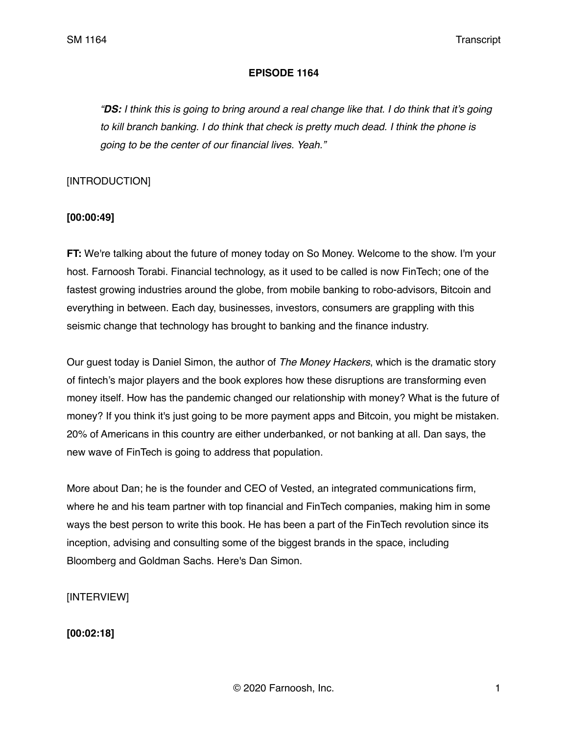#### **EPISODE 1164**

*"DS: I think this is going to bring around a real change like that. I do think that it's going to kill branch banking. I do think that check is pretty much dead. I think the phone is going to be the center of our financial lives. Yeah."* 

### [INTRODUCTION]

## **[00:00:49]**

**FT:** We're talking about the future of money today on So Money. Welcome to the show. I'm your host. Farnoosh Torabi. Financial technology, as it used to be called is now FinTech; one of the fastest growing industries around the globe, from mobile banking to robo-advisors, Bitcoin and everything in between. Each day, businesses, investors, consumers are grappling with this seismic change that technology has brought to banking and the finance industry.

Our guest today is Daniel Simon, the author of *The Money Hackers*, which is the dramatic story of fintech's major players and the book explores how these disruptions are transforming even money itself. How has the pandemic changed our relationship with money? What is the future of money? If you think it's just going to be more payment apps and Bitcoin, you might be mistaken. 20% of Americans in this country are either underbanked, or not banking at all. Dan says, the new wave of FinTech is going to address that population.

More about Dan; he is the founder and CEO of Vested, an integrated communications firm, where he and his team partner with top financial and FinTech companies, making him in some ways the best person to write this book. He has been a part of the FinTech revolution since its inception, advising and consulting some of the biggest brands in the space, including Bloomberg and Goldman Sachs. Here's Dan Simon.

[INTERVIEW]

**[00:02:18]**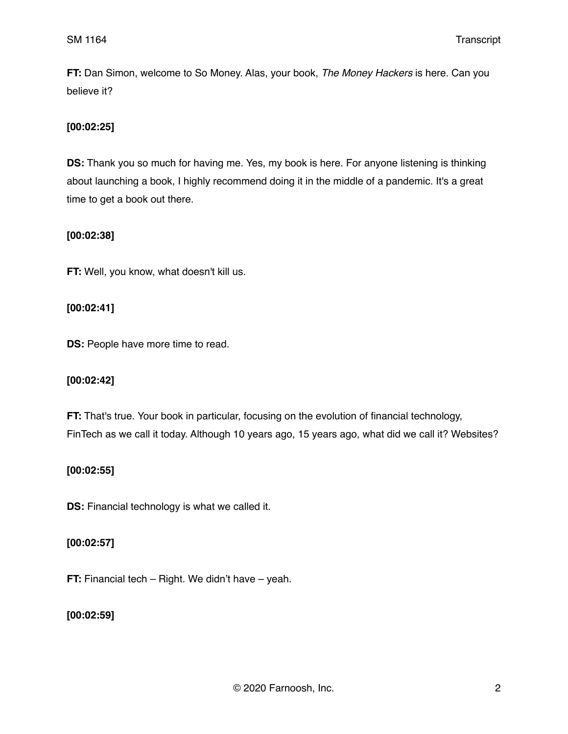**FT:** Dan Simon, welcome to So Money. Alas, your book, *The Money Hackers* is here. Can you believe it?

## **[00:02:25]**

**DS:** Thank you so much for having me. Yes, my book is here. For anyone listening is thinking about launching a book, I highly recommend doing it in the middle of a pandemic. It's a great time to get a book out there.

## **[00:02:38]**

**FT:** Well, you know, what doesn't kill us.

## **[00:02:41]**

**DS:** People have more time to read.

## **[00:02:42]**

**FT:** That's true. Your book in particular, focusing on the evolution of financial technology, FinTech as we call it today. Although 10 years ago, 15 years ago, what did we call it? Websites?

## **[00:02:55]**

**DS:** Financial technology is what we called it.

## **[00:02:57]**

**FT:** Financial tech – Right. We didn't have – yeah.

## **[00:02:59]**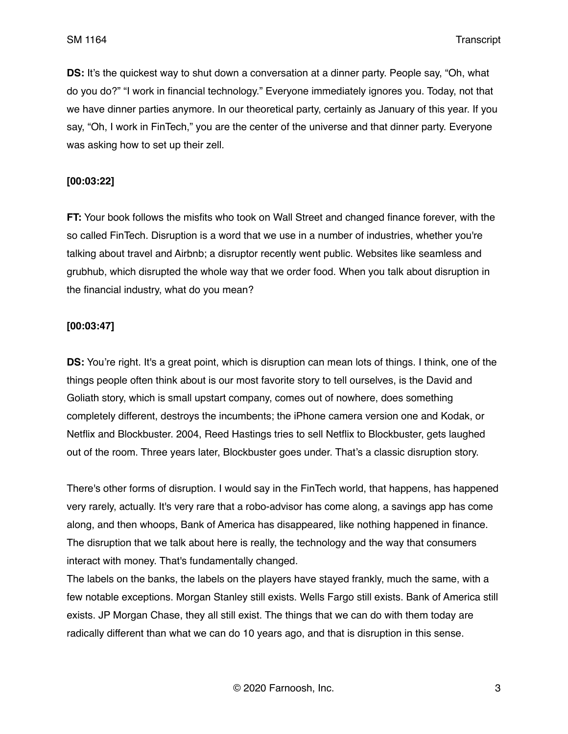**DS:** It's the quickest way to shut down a conversation at a dinner party. People say, "Oh, what do you do?" "I work in financial technology." Everyone immediately ignores you. Today, not that we have dinner parties anymore. In our theoretical party, certainly as January of this year. If you say, "Oh, I work in FinTech," you are the center of the universe and that dinner party. Everyone was asking how to set up their zell.

### **[00:03:22]**

**FT:** Your book follows the misfits who took on Wall Street and changed finance forever, with the so called FinTech. Disruption is a word that we use in a number of industries, whether you're talking about travel and Airbnb; a disruptor recently went public. Websites like seamless and grubhub, which disrupted the whole way that we order food. When you talk about disruption in the financial industry, what do you mean?

## **[00:03:47]**

**DS:** You're right. It's a great point, which is disruption can mean lots of things. I think, one of the things people often think about is our most favorite story to tell ourselves, is the David and Goliath story, which is small upstart company, comes out of nowhere, does something completely different, destroys the incumbents; the iPhone camera version one and Kodak, or Netflix and Blockbuster. 2004, Reed Hastings tries to sell Netflix to Blockbuster, gets laughed out of the room. Three years later, Blockbuster goes under. That's a classic disruption story.

There's other forms of disruption. I would say in the FinTech world, that happens, has happened very rarely, actually. It's very rare that a robo-advisor has come along, a savings app has come along, and then whoops, Bank of America has disappeared, like nothing happened in finance. The disruption that we talk about here is really, the technology and the way that consumers interact with money. That's fundamentally changed.

The labels on the banks, the labels on the players have stayed frankly, much the same, with a few notable exceptions. Morgan Stanley still exists. Wells Fargo still exists. Bank of America still exists. JP Morgan Chase, they all still exist. The things that we can do with them today are radically different than what we can do 10 years ago, and that is disruption in this sense.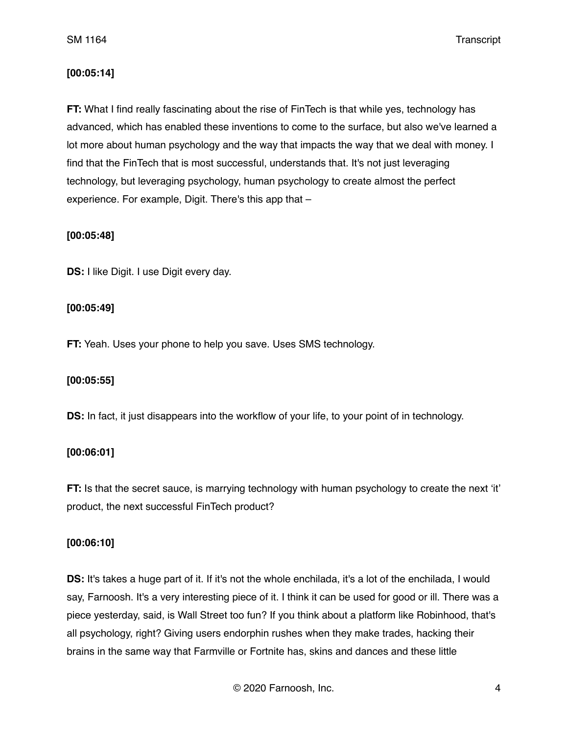### **[00:05:14]**

**FT:** What I find really fascinating about the rise of FinTech is that while yes, technology has advanced, which has enabled these inventions to come to the surface, but also we've learned a lot more about human psychology and the way that impacts the way that we deal with money. I find that the FinTech that is most successful, understands that. It's not just leveraging technology, but leveraging psychology, human psychology to create almost the perfect experience. For example, Digit. There's this app that –

### **[00:05:48]**

**DS:** I like Digit. I use Digit every day.

### **[00:05:49]**

**FT:** Yeah. Uses your phone to help you save. Uses SMS technology.

#### **[00:05:55]**

**DS:** In fact, it just disappears into the workflow of your life, to your point of in technology.

## **[00:06:01]**

**FT:** Is that the secret sauce, is marrying technology with human psychology to create the next 'it' product, the next successful FinTech product?

#### **[00:06:10]**

**DS:** It's takes a huge part of it. If it's not the whole enchilada, it's a lot of the enchilada, I would say, Farnoosh. It's a very interesting piece of it. I think it can be used for good or ill. There was a piece yesterday, said, is Wall Street too fun? If you think about a platform like Robinhood, that's all psychology, right? Giving users endorphin rushes when they make trades, hacking their brains in the same way that Farmville or Fortnite has, skins and dances and these little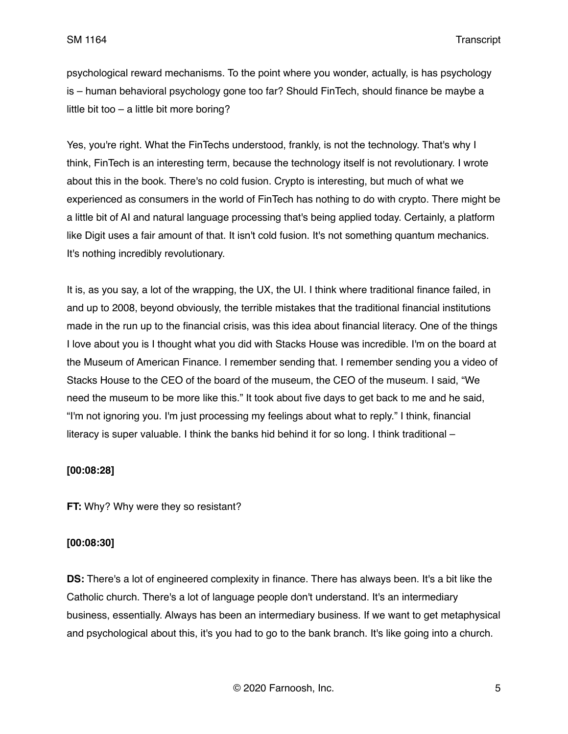psychological reward mechanisms. To the point where you wonder, actually, is has psychology is – human behavioral psychology gone too far? Should FinTech, should finance be maybe a little bit too – a little bit more boring?

Yes, you're right. What the FinTechs understood, frankly, is not the technology. That's why I think, FinTech is an interesting term, because the technology itself is not revolutionary. I wrote about this in the book. There's no cold fusion. Crypto is interesting, but much of what we experienced as consumers in the world of FinTech has nothing to do with crypto. There might be a little bit of AI and natural language processing that's being applied today. Certainly, a platform like Digit uses a fair amount of that. It isn't cold fusion. It's not something quantum mechanics. It's nothing incredibly revolutionary.

It is, as you say, a lot of the wrapping, the UX, the UI. I think where traditional finance failed, in and up to 2008, beyond obviously, the terrible mistakes that the traditional financial institutions made in the run up to the financial crisis, was this idea about financial literacy. One of the things I love about you is I thought what you did with Stacks House was incredible. I'm on the board at the Museum of American Finance. I remember sending that. I remember sending you a video of Stacks House to the CEO of the board of the museum, the CEO of the museum. I said, "We need the museum to be more like this." It took about five days to get back to me and he said, "I'm not ignoring you. I'm just processing my feelings about what to reply." I think, financial literacy is super valuable. I think the banks hid behind it for so long. I think traditional –

#### **[00:08:28]**

**FT:** Why? Why were they so resistant?

#### **[00:08:30]**

**DS:** There's a lot of engineered complexity in finance. There has always been. It's a bit like the Catholic church. There's a lot of language people don't understand. It's an intermediary business, essentially. Always has been an intermediary business. If we want to get metaphysical and psychological about this, it's you had to go to the bank branch. It's like going into a church.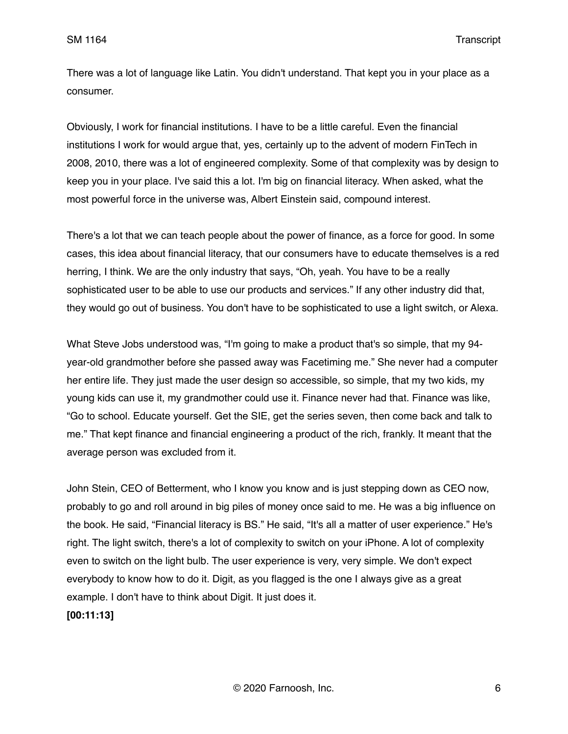There was a lot of language like Latin. You didn't understand. That kept you in your place as a consumer.

Obviously, I work for financial institutions. I have to be a little careful. Even the financial institutions I work for would argue that, yes, certainly up to the advent of modern FinTech in 2008, 2010, there was a lot of engineered complexity. Some of that complexity was by design to keep you in your place. I've said this a lot. I'm big on financial literacy. When asked, what the most powerful force in the universe was, Albert Einstein said, compound interest.

There's a lot that we can teach people about the power of finance, as a force for good. In some cases, this idea about financial literacy, that our consumers have to educate themselves is a red herring, I think. We are the only industry that says, "Oh, yeah. You have to be a really sophisticated user to be able to use our products and services." If any other industry did that, they would go out of business. You don't have to be sophisticated to use a light switch, or Alexa.

What Steve Jobs understood was, "I'm going to make a product that's so simple, that my 94 year-old grandmother before she passed away was Facetiming me." She never had a computer her entire life. They just made the user design so accessible, so simple, that my two kids, my young kids can use it, my grandmother could use it. Finance never had that. Finance was like, "Go to school. Educate yourself. Get the SIE, get the series seven, then come back and talk to me." That kept finance and financial engineering a product of the rich, frankly. It meant that the average person was excluded from it.

John Stein, CEO of Betterment, who I know you know and is just stepping down as CEO now, probably to go and roll around in big piles of money once said to me. He was a big influence on the book. He said, "Financial literacy is BS." He said, "It's all a matter of user experience." He's right. The light switch, there's a lot of complexity to switch on your iPhone. A lot of complexity even to switch on the light bulb. The user experience is very, very simple. We don't expect everybody to know how to do it. Digit, as you flagged is the one I always give as a great example. I don't have to think about Digit. It just does it.

**[00:11:13]**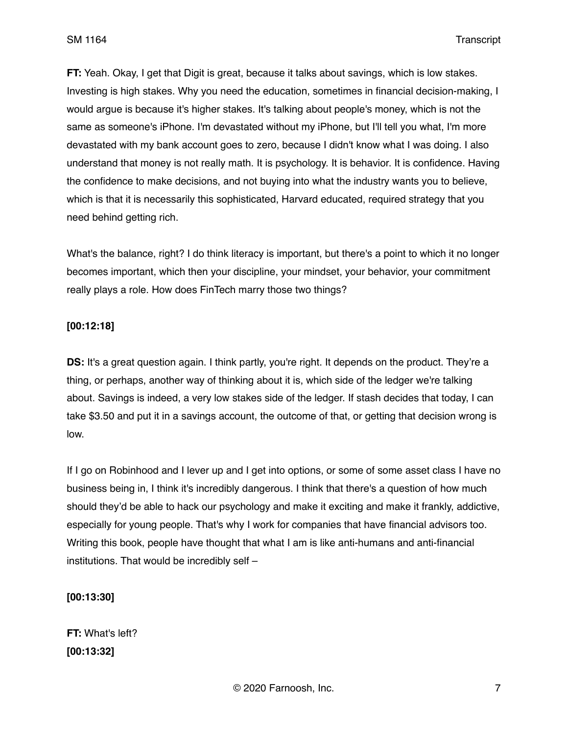**FT:** Yeah. Okay, I get that Digit is great, because it talks about savings, which is low stakes. Investing is high stakes. Why you need the education, sometimes in financial decision-making, I would argue is because it's higher stakes. It's talking about people's money, which is not the same as someone's iPhone. I'm devastated without my iPhone, but I'll tell you what, I'm more devastated with my bank account goes to zero, because I didn't know what I was doing. I also understand that money is not really math. It is psychology. It is behavior. It is confidence. Having the confidence to make decisions, and not buying into what the industry wants you to believe, which is that it is necessarily this sophisticated, Harvard educated, required strategy that you need behind getting rich.

What's the balance, right? I do think literacy is important, but there's a point to which it no longer becomes important, which then your discipline, your mindset, your behavior, your commitment really plays a role. How does FinTech marry those two things?

#### **[00:12:18]**

**DS:** It's a great question again. I think partly, you're right. It depends on the product. They're a thing, or perhaps, another way of thinking about it is, which side of the ledger we're talking about. Savings is indeed, a very low stakes side of the ledger. If stash decides that today, I can take \$3.50 and put it in a savings account, the outcome of that, or getting that decision wrong is low.

If I go on Robinhood and I lever up and I get into options, or some of some asset class I have no business being in, I think it's incredibly dangerous. I think that there's a question of how much should they'd be able to hack our psychology and make it exciting and make it frankly, addictive, especially for young people. That's why I work for companies that have financial advisors too. Writing this book, people have thought that what I am is like anti-humans and anti-financial institutions. That would be incredibly self –

#### **[00:13:30]**

**FT:** What's left? **[00:13:32]**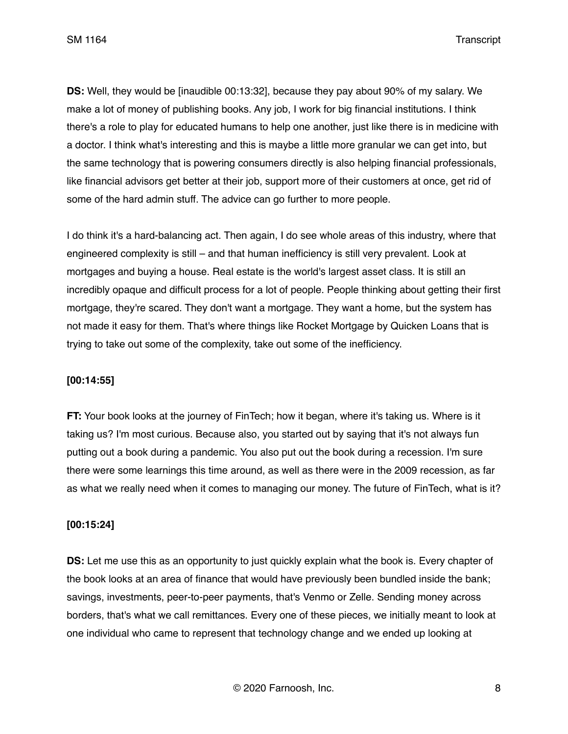**DS:** Well, they would be [inaudible 00:13:32], because they pay about 90% of my salary. We make a lot of money of publishing books. Any job, I work for big financial institutions. I think there's a role to play for educated humans to help one another, just like there is in medicine with a doctor. I think what's interesting and this is maybe a little more granular we can get into, but the same technology that is powering consumers directly is also helping financial professionals, like financial advisors get better at their job, support more of their customers at once, get rid of some of the hard admin stuff. The advice can go further to more people.

I do think it's a hard-balancing act. Then again, I do see whole areas of this industry, where that engineered complexity is still – and that human inefficiency is still very prevalent. Look at mortgages and buying a house. Real estate is the world's largest asset class. It is still an incredibly opaque and difficult process for a lot of people. People thinking about getting their first mortgage, they're scared. They don't want a mortgage. They want a home, but the system has not made it easy for them. That's where things like Rocket Mortgage by Quicken Loans that is trying to take out some of the complexity, take out some of the inefficiency.

#### **[00:14:55]**

**FT:** Your book looks at the journey of FinTech; how it began, where it's taking us. Where is it taking us? I'm most curious. Because also, you started out by saying that it's not always fun putting out a book during a pandemic. You also put out the book during a recession. I'm sure there were some learnings this time around, as well as there were in the 2009 recession, as far as what we really need when it comes to managing our money. The future of FinTech, what is it?

#### **[00:15:24]**

**DS:** Let me use this as an opportunity to just quickly explain what the book is. Every chapter of the book looks at an area of finance that would have previously been bundled inside the bank; savings, investments, peer-to-peer payments, that's Venmo or Zelle. Sending money across borders, that's what we call remittances. Every one of these pieces, we initially meant to look at one individual who came to represent that technology change and we ended up looking at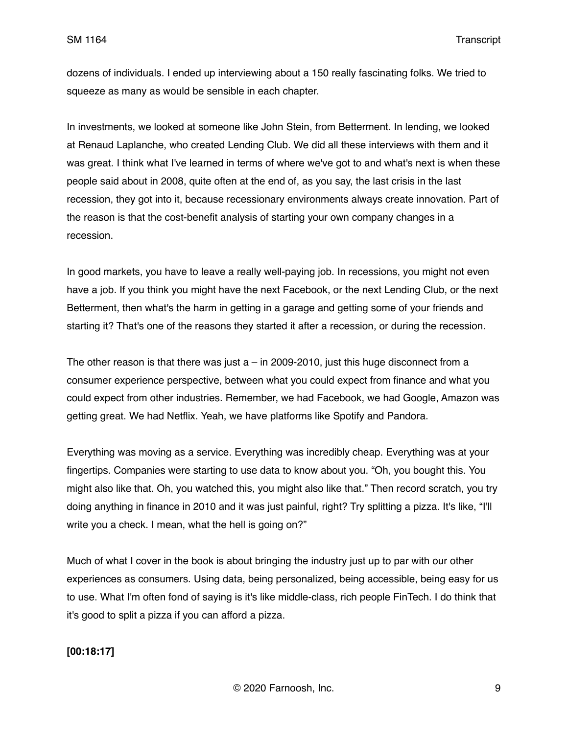dozens of individuals. I ended up interviewing about a 150 really fascinating folks. We tried to squeeze as many as would be sensible in each chapter.

In investments, we looked at someone like John Stein, from Betterment. In lending, we looked at Renaud Laplanche, who created Lending Club. We did all these interviews with them and it was great. I think what I've learned in terms of where we've got to and what's next is when these people said about in 2008, quite often at the end of, as you say, the last crisis in the last recession, they got into it, because recessionary environments always create innovation. Part of the reason is that the cost-benefit analysis of starting your own company changes in a recession.

In good markets, you have to leave a really well-paying job. In recessions, you might not even have a job. If you think you might have the next Facebook, or the next Lending Club, or the next Betterment, then what's the harm in getting in a garage and getting some of your friends and starting it? That's one of the reasons they started it after a recession, or during the recession.

The other reason is that there was just  $a - in 2009-2010$ , just this huge disconnect from a consumer experience perspective, between what you could expect from finance and what you could expect from other industries. Remember, we had Facebook, we had Google, Amazon was getting great. We had Netflix. Yeah, we have platforms like Spotify and Pandora.

Everything was moving as a service. Everything was incredibly cheap. Everything was at your fingertips. Companies were starting to use data to know about you. "Oh, you bought this. You might also like that. Oh, you watched this, you might also like that." Then record scratch, you try doing anything in finance in 2010 and it was just painful, right? Try splitting a pizza. It's like, "I'll write you a check. I mean, what the hell is going on?"

Much of what I cover in the book is about bringing the industry just up to par with our other experiences as consumers. Using data, being personalized, being accessible, being easy for us to use. What I'm often fond of saying is it's like middle-class, rich people FinTech. I do think that it's good to split a pizza if you can afford a pizza.

#### **[00:18:17]**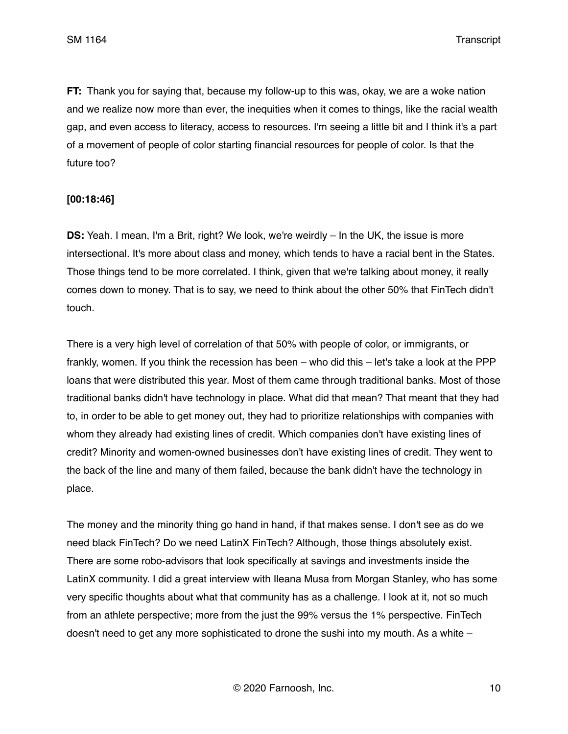**FT:** Thank you for saying that, because my follow-up to this was, okay, we are a woke nation and we realize now more than ever, the inequities when it comes to things, like the racial wealth gap, and even access to literacy, access to resources. I'm seeing a little bit and I think it's a part of a movement of people of color starting financial resources for people of color. Is that the future too?

#### **[00:18:46]**

**DS:** Yeah. I mean, I'm a Brit, right? We look, we're weirdly – In the UK, the issue is more intersectional. It's more about class and money, which tends to have a racial bent in the States. Those things tend to be more correlated. I think, given that we're talking about money, it really comes down to money. That is to say, we need to think about the other 50% that FinTech didn't touch.

There is a very high level of correlation of that 50% with people of color, or immigrants, or frankly, women. If you think the recession has been – who did this – let's take a look at the PPP loans that were distributed this year. Most of them came through traditional banks. Most of those traditional banks didn't have technology in place. What did that mean? That meant that they had to, in order to be able to get money out, they had to prioritize relationships with companies with whom they already had existing lines of credit. Which companies don't have existing lines of credit? Minority and women-owned businesses don't have existing lines of credit. They went to the back of the line and many of them failed, because the bank didn't have the technology in place.

The money and the minority thing go hand in hand, if that makes sense. I don't see as do we need black FinTech? Do we need LatinX FinTech? Although, those things absolutely exist. There are some robo-advisors that look specifically at savings and investments inside the LatinX community. I did a great interview with Ileana Musa from Morgan Stanley, who has some very specific thoughts about what that community has as a challenge. I look at it, not so much from an athlete perspective; more from the just the 99% versus the 1% perspective. FinTech doesn't need to get any more sophisticated to drone the sushi into my mouth. As a white –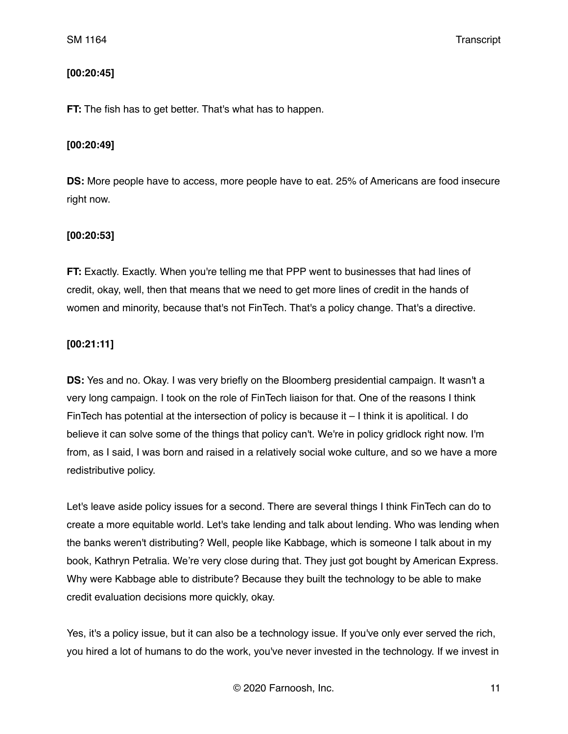### **[00:20:45]**

**FT:** The fish has to get better. That's what has to happen.

### **[00:20:49]**

**DS:** More people have to access, more people have to eat. 25% of Americans are food insecure right now.

#### **[00:20:53]**

**FT:** Exactly. Exactly. When you're telling me that PPP went to businesses that had lines of credit, okay, well, then that means that we need to get more lines of credit in the hands of women and minority, because that's not FinTech. That's a policy change. That's a directive.

## **[00:21:11]**

**DS:** Yes and no. Okay. I was very briefly on the Bloomberg presidential campaign. It wasn't a very long campaign. I took on the role of FinTech liaison for that. One of the reasons I think FinTech has potential at the intersection of policy is because it – I think it is apolitical. I do believe it can solve some of the things that policy can't. We're in policy gridlock right now. I'm from, as I said, I was born and raised in a relatively social woke culture, and so we have a more redistributive policy.

Let's leave aside policy issues for a second. There are several things I think FinTech can do to create a more equitable world. Let's take lending and talk about lending. Who was lending when the banks weren't distributing? Well, people like Kabbage, which is someone I talk about in my book, Kathryn Petralia. We're very close during that. They just got bought by American Express. Why were Kabbage able to distribute? Because they built the technology to be able to make credit evaluation decisions more quickly, okay.

Yes, it's a policy issue, but it can also be a technology issue. If you've only ever served the rich, you hired a lot of humans to do the work, you've never invested in the technology. If we invest in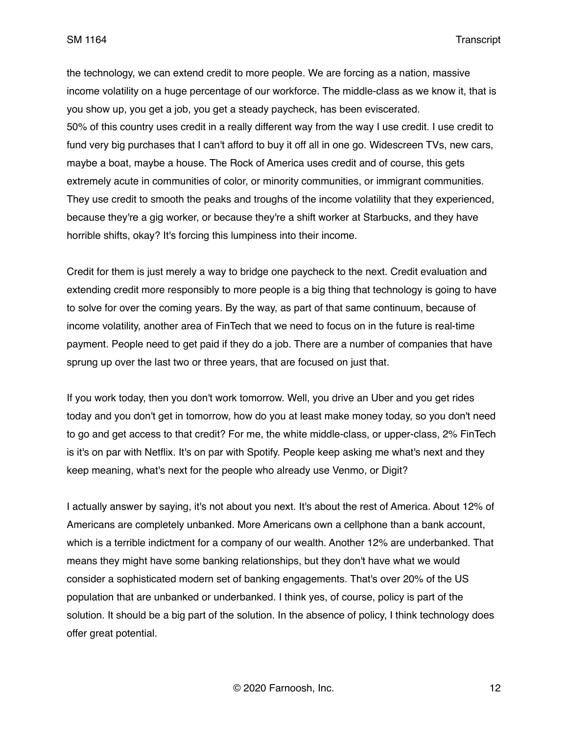the technology, we can extend credit to more people. We are forcing as a nation, massive income volatility on a huge percentage of our workforce. The middle-class as we know it, that is you show up, you get a job, you get a steady paycheck, has been eviscerated. 50% of this country uses credit in a really different way from the way I use credit. I use credit to fund very big purchases that I can't afford to buy it off all in one go. Widescreen TVs, new cars, maybe a boat, maybe a house. The Rock of America uses credit and of course, this gets extremely acute in communities of color, or minority communities, or immigrant communities. They use credit to smooth the peaks and troughs of the income volatility that they experienced, because they're a gig worker, or because they're a shift worker at Starbucks, and they have horrible shifts, okay? It's forcing this lumpiness into their income.

Credit for them is just merely a way to bridge one paycheck to the next. Credit evaluation and extending credit more responsibly to more people is a big thing that technology is going to have to solve for over the coming years. By the way, as part of that same continuum, because of income volatility, another area of FinTech that we need to focus on in the future is real-time payment. People need to get paid if they do a job. There are a number of companies that have sprung up over the last two or three years, that are focused on just that.

If you work today, then you don't work tomorrow. Well, you drive an Uber and you get rides today and you don't get in tomorrow, how do you at least make money today, so you don't need to go and get access to that credit? For me, the white middle-class, or upper-class, 2% FinTech is it's on par with Netflix. It's on par with Spotify. People keep asking me what's next and they keep meaning, what's next for the people who already use Venmo, or Digit?

I actually answer by saying, it's not about you next. It's about the rest of America. About 12% of Americans are completely unbanked. More Americans own a cellphone than a bank account, which is a terrible indictment for a company of our wealth. Another 12% are underbanked. That means they might have some banking relationships, but they don't have what we would consider a sophisticated modern set of banking engagements. That's over 20% of the US population that are unbanked or underbanked. I think yes, of course, policy is part of the solution. It should be a big part of the solution. In the absence of policy, I think technology does offer great potential.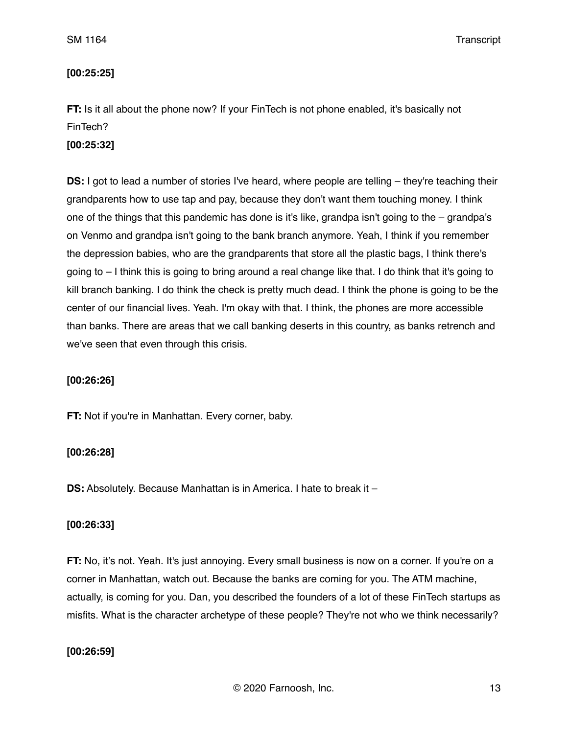### **[00:25:25]**

**FT:** Is it all about the phone now? If your FinTech is not phone enabled, it's basically not FinTech?

### **[00:25:32]**

**DS:** I got to lead a number of stories I've heard, where people are telling – they're teaching their grandparents how to use tap and pay, because they don't want them touching money. I think one of the things that this pandemic has done is it's like, grandpa isn't going to the – grandpa's on Venmo and grandpa isn't going to the bank branch anymore. Yeah, I think if you remember the depression babies, who are the grandparents that store all the plastic bags, I think there's going to – I think this is going to bring around a real change like that. I do think that it's going to kill branch banking. I do think the check is pretty much dead. I think the phone is going to be the center of our financial lives. Yeah. I'm okay with that. I think, the phones are more accessible than banks. There are areas that we call banking deserts in this country, as banks retrench and we've seen that even through this crisis.

#### **[00:26:26]**

**FT:** Not if you're in Manhattan. Every corner, baby.

#### **[00:26:28]**

**DS:** Absolutely. Because Manhattan is in America. I hate to break it –

#### **[00:26:33]**

**FT:** No, it's not. Yeah. It's just annoying. Every small business is now on a corner. If you're on a corner in Manhattan, watch out. Because the banks are coming for you. The ATM machine, actually, is coming for you. Dan, you described the founders of a lot of these FinTech startups as misfits. What is the character archetype of these people? They're not who we think necessarily?

#### **[00:26:59]**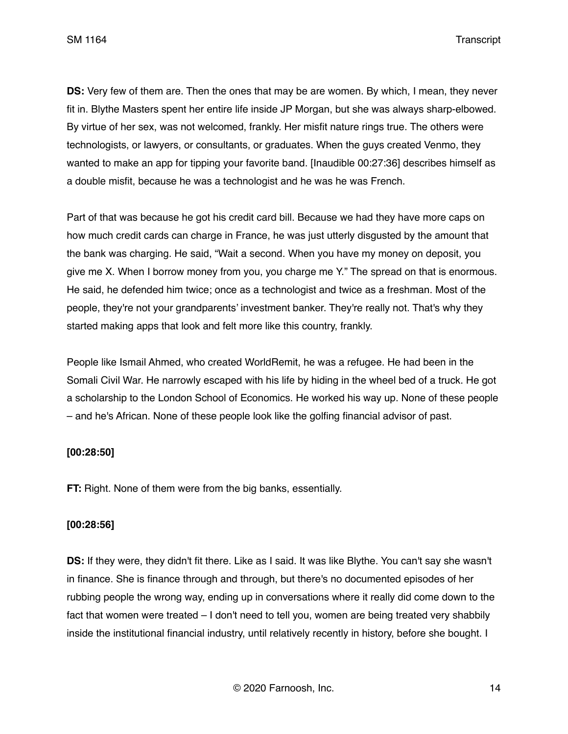**DS:** Very few of them are. Then the ones that may be are women. By which, I mean, they never fit in. Blythe Masters spent her entire life inside JP Morgan, but she was always sharp-elbowed. By virtue of her sex, was not welcomed, frankly. Her misfit nature rings true. The others were technologists, or lawyers, or consultants, or graduates. When the guys created Venmo, they wanted to make an app for tipping your favorite band. [Inaudible 00:27:36] describes himself as a double misfit, because he was a technologist and he was he was French.

Part of that was because he got his credit card bill. Because we had they have more caps on how much credit cards can charge in France, he was just utterly disgusted by the amount that the bank was charging. He said, "Wait a second. When you have my money on deposit, you give me X. When I borrow money from you, you charge me Y." The spread on that is enormous. He said, he defended him twice; once as a technologist and twice as a freshman. Most of the people, they're not your grandparents' investment banker. They're really not. That's why they started making apps that look and felt more like this country, frankly.

People like Ismail Ahmed, who created WorldRemit, he was a refugee. He had been in the Somali Civil War. He narrowly escaped with his life by hiding in the wheel bed of a truck. He got a scholarship to the London School of Economics. He worked his way up. None of these people – and he's African. None of these people look like the golfing financial advisor of past.

#### **[00:28:50]**

**FT:** Right. None of them were from the big banks, essentially.

#### **[00:28:56]**

**DS:** If they were, they didn't fit there. Like as I said. It was like Blythe. You can't say she wasn't in finance. She is finance through and through, but there's no documented episodes of her rubbing people the wrong way, ending up in conversations where it really did come down to the fact that women were treated – I don't need to tell you, women are being treated very shabbily inside the institutional financial industry, until relatively recently in history, before she bought. I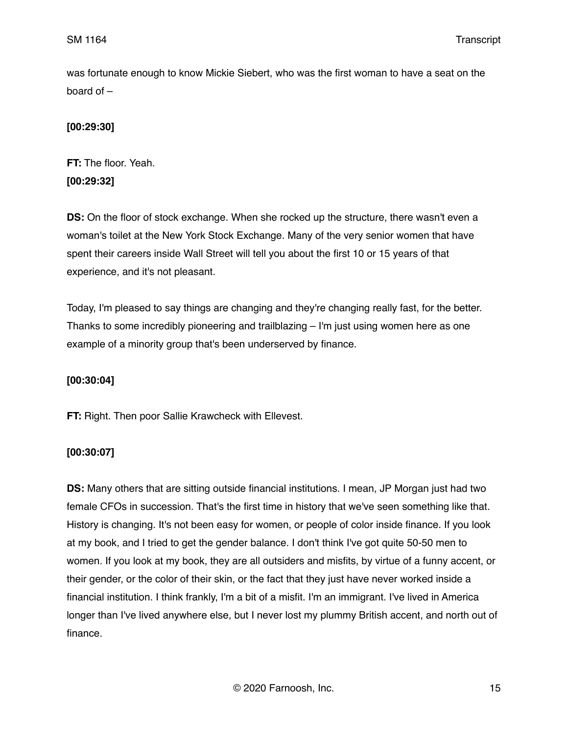was fortunate enough to know Mickie Siebert, who was the first woman to have a seat on the board of –

## **[00:29:30]**

**FT:** The floor. Yeah. **[00:29:32]**

**DS:** On the floor of stock exchange. When she rocked up the structure, there wasn't even a woman's toilet at the New York Stock Exchange. Many of the very senior women that have spent their careers inside Wall Street will tell you about the first 10 or 15 years of that experience, and it's not pleasant.

Today, I'm pleased to say things are changing and they're changing really fast, for the better. Thanks to some incredibly pioneering and trailblazing – I'm just using women here as one example of a minority group that's been underserved by finance.

## **[00:30:04]**

**FT:** Right. Then poor Sallie Krawcheck with Ellevest.

## **[00:30:07]**

**DS:** Many others that are sitting outside financial institutions. I mean, JP Morgan just had two female CFOs in succession. That's the first time in history that we've seen something like that. History is changing. It's not been easy for women, or people of color inside finance. If you look at my book, and I tried to get the gender balance. I don't think I've got quite 50-50 men to women. If you look at my book, they are all outsiders and misfits, by virtue of a funny accent, or their gender, or the color of their skin, or the fact that they just have never worked inside a financial institution. I think frankly, I'm a bit of a misfit. I'm an immigrant. I've lived in America longer than I've lived anywhere else, but I never lost my plummy British accent, and north out of finance.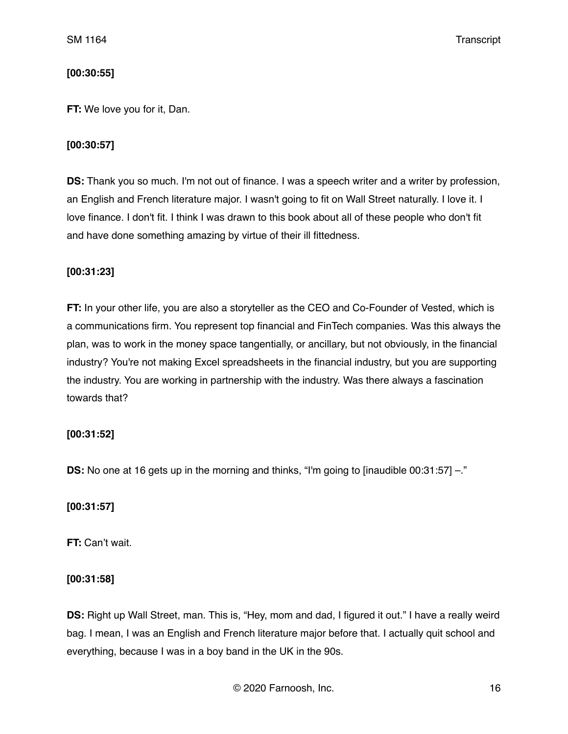### **[00:30:55]**

**FT:** We love you for it, Dan.

### **[00:30:57]**

**DS:** Thank you so much. I'm not out of finance. I was a speech writer and a writer by profession, an English and French literature major. I wasn't going to fit on Wall Street naturally. I love it. I love finance. I don't fit. I think I was drawn to this book about all of these people who don't fit and have done something amazing by virtue of their ill fittedness.

#### **[00:31:23]**

**FT:** In your other life, you are also a storyteller as the CEO and Co-Founder of Vested, which is a communications firm. You represent top financial and FinTech companies. Was this always the plan, was to work in the money space tangentially, or ancillary, but not obviously, in the financial industry? You're not making Excel spreadsheets in the financial industry, but you are supporting the industry. You are working in partnership with the industry. Was there always a fascination towards that?

#### **[00:31:52]**

**DS:** No one at 16 gets up in the morning and thinks, "I'm going to [inaudible 00:31:57] -."

#### **[00:31:57]**

**FT:** Can't wait.

#### **[00:31:58]**

**DS:** Right up Wall Street, man. This is, "Hey, mom and dad, I figured it out." I have a really weird bag. I mean, I was an English and French literature major before that. I actually quit school and everything, because I was in a boy band in the UK in the 90s.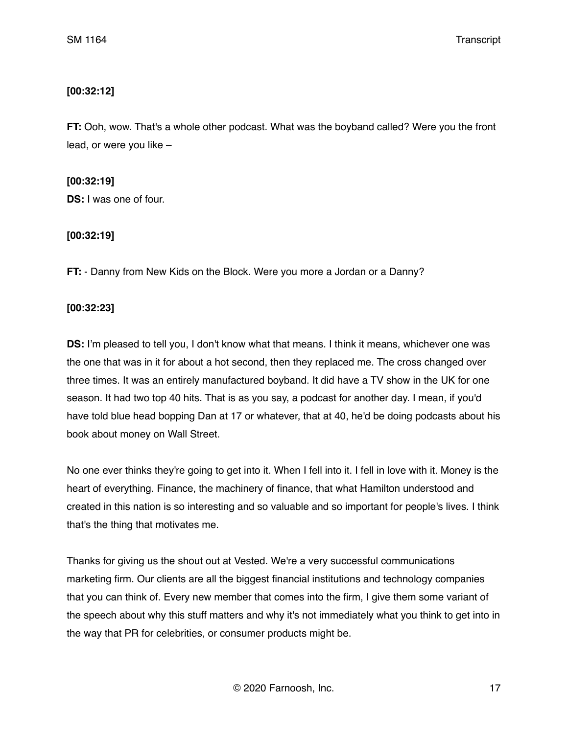### **[00:32:12]**

**FT:** Ooh, wow. That's a whole other podcast. What was the boyband called? Were you the front lead, or were you like –

#### **[00:32:19]**

**DS:** I was one of four.

#### **[00:32:19]**

**FT:** - Danny from New Kids on the Block. Were you more a Jordan or a Danny?

### **[00:32:23]**

**DS:** I'm pleased to tell you, I don't know what that means. I think it means, whichever one was the one that was in it for about a hot second, then they replaced me. The cross changed over three times. It was an entirely manufactured boyband. It did have a TV show in the UK for one season. It had two top 40 hits. That is as you say, a podcast for another day. I mean, if you'd have told blue head bopping Dan at 17 or whatever, that at 40, he'd be doing podcasts about his book about money on Wall Street.

No one ever thinks they're going to get into it. When I fell into it. I fell in love with it. Money is the heart of everything. Finance, the machinery of finance, that what Hamilton understood and created in this nation is so interesting and so valuable and so important for people's lives. I think that's the thing that motivates me.

Thanks for giving us the shout out at Vested. We're a very successful communications marketing firm. Our clients are all the biggest financial institutions and technology companies that you can think of. Every new member that comes into the firm, I give them some variant of the speech about why this stuff matters and why it's not immediately what you think to get into in the way that PR for celebrities, or consumer products might be.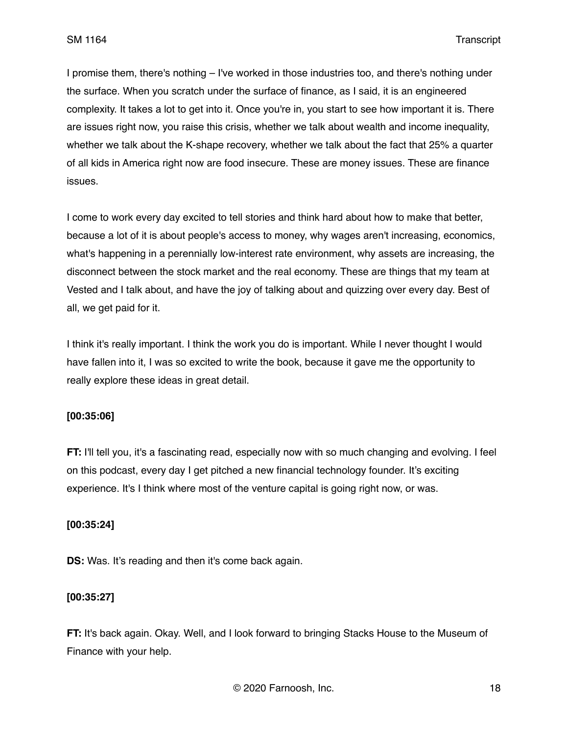I promise them, there's nothing – I've worked in those industries too, and there's nothing under the surface. When you scratch under the surface of finance, as I said, it is an engineered complexity. It takes a lot to get into it. Once you're in, you start to see how important it is. There are issues right now, you raise this crisis, whether we talk about wealth and income inequality, whether we talk about the K-shape recovery, whether we talk about the fact that 25% a quarter of all kids in America right now are food insecure. These are money issues. These are finance issues.

I come to work every day excited to tell stories and think hard about how to make that better, because a lot of it is about people's access to money, why wages aren't increasing, economics, what's happening in a perennially low-interest rate environment, why assets are increasing, the disconnect between the stock market and the real economy. These are things that my team at Vested and I talk about, and have the joy of talking about and quizzing over every day. Best of all, we get paid for it.

I think it's really important. I think the work you do is important. While I never thought I would have fallen into it, I was so excited to write the book, because it gave me the opportunity to really explore these ideas in great detail.

#### **[00:35:06]**

**FT:** I'll tell you, it's a fascinating read, especially now with so much changing and evolving. I feel on this podcast, every day I get pitched a new financial technology founder. It's exciting experience. It's I think where most of the venture capital is going right now, or was.

#### **[00:35:24]**

**DS:** Was. It's reading and then it's come back again.

## **[00:35:27]**

**FT:** It's back again. Okay. Well, and I look forward to bringing Stacks House to the Museum of Finance with your help.